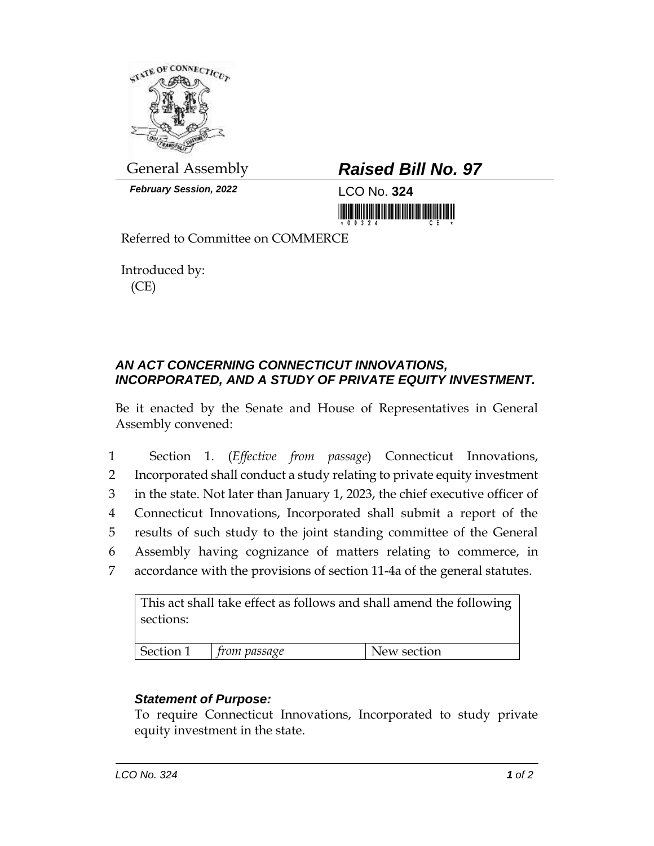

*February Session, 2022* LCO No. **324**

## General Assembly *Raised Bill No. 97*

<u> III dhektiri ili mashrida ma'lumot boʻlgan mashrida ma'lumot boʻlgan mashrida mashrida mashrida mashrida mash</u>

Referred to Committee on COMMERCE

Introduced by: (CE)

## *AN ACT CONCERNING CONNECTICUT INNOVATIONS, INCORPORATED, AND A STUDY OF PRIVATE EQUITY INVESTMENT.*

Be it enacted by the Senate and House of Representatives in General Assembly convened:

 Section 1. (*Effective from passage*) Connecticut Innovations, Incorporated shall conduct a study relating to private equity investment in the state. Not later than January 1, 2023, the chief executive officer of Connecticut Innovations, Incorporated shall submit a report of the results of such study to the joint standing committee of the General Assembly having cognizance of matters relating to commerce, in accordance with the provisions of section 11-4a of the general statutes.

This act shall take effect as follows and shall amend the following sections:

| $\sim$ $\sim$<br>N<br>$\sim$ $\sim$<br>section<br>passage<br>$\mathbf{M}$ |  |
|---------------------------------------------------------------------------|--|

## *Statement of Purpose:*

To require Connecticut Innovations, Incorporated to study private equity investment in the state.